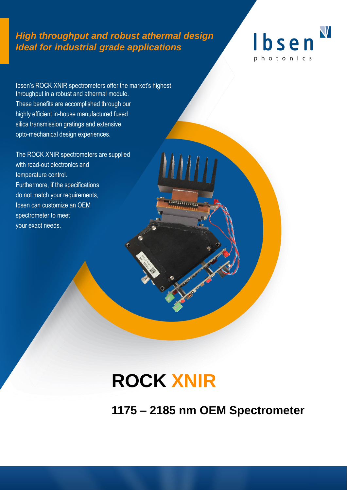# *High throughput and robust athermal design Ideal for industrial grade applications*



Ibsen's ROCK XNIR spectrometers offer the market's highest throughput in a robust and athermal module. These benefits are accomplished through our highly efficient in-house manufactured fused silica transmission gratings and extensive opto-mechanical design experiences.

The ROCK XNIR spectrometers are supplied with read-out electronics and temperature control. Furthermore, if the specifications do not match your requirements, Ibsen can customize an OEM spectrometer to meet your exact needs.

# **ROCK XNIR**

**1175 – 2185 nm OEM Spectrometer**